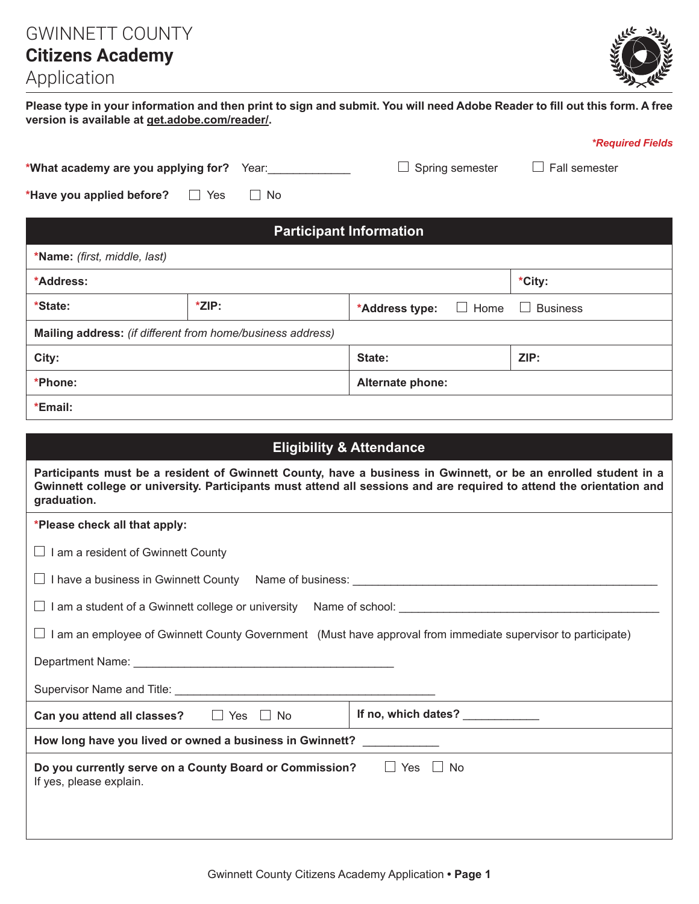GWINNETT COUNTY **Citizens Academy** 



## Application

**Please type in your information and then print to sign and submit. You will need Adobe Reader to fill out this form. A free version is available at get.adobe.com/reader/.**

|                                                            |                      |                               | <i><b>*Required Fields</b></i> |  |  |
|------------------------------------------------------------|----------------------|-------------------------------|--------------------------------|--|--|
| *What academy are you applying for?                        | Year:                | Spring semester               | Fall semester                  |  |  |
| *Have you applied before?                                  | $\Box$ No<br>— ∐ Yes |                               |                                |  |  |
| <b>Participant Information</b>                             |                      |                               |                                |  |  |
| *Name: (first, middle, last)                               |                      |                               |                                |  |  |
| *Address:                                                  |                      |                               | *City:                         |  |  |
| *State:                                                    | *ZIP:                | $\Box$ Home<br>*Address type: | <b>Business</b>                |  |  |
| Mailing address: (if different from home/business address) |                      |                               |                                |  |  |
| City:                                                      |                      | State:                        | ZIP:                           |  |  |
| *Phone:                                                    |                      | Alternate phone:              |                                |  |  |
| *Email:                                                    |                      |                               |                                |  |  |

| <b>Eligibility &amp; Attendance</b>                                                                                                                                                                                                                    |                     |  |  |
|--------------------------------------------------------------------------------------------------------------------------------------------------------------------------------------------------------------------------------------------------------|---------------------|--|--|
| Participants must be a resident of Gwinnett County, have a business in Gwinnett, or be an enrolled student in a<br>Gwinnett college or university. Participants must attend all sessions and are required to attend the orientation and<br>graduation. |                     |  |  |
| *Please check all that apply:                                                                                                                                                                                                                          |                     |  |  |
| I am a resident of Gwinnett County<br>$\perp$                                                                                                                                                                                                          |                     |  |  |
|                                                                                                                                                                                                                                                        |                     |  |  |
| ப                                                                                                                                                                                                                                                      |                     |  |  |
| I am an employee of Gwinnett County Government (Must have approval from immediate supervisor to participate)<br>⊔                                                                                                                                      |                     |  |  |
|                                                                                                                                                                                                                                                        |                     |  |  |
|                                                                                                                                                                                                                                                        |                     |  |  |
| Can you attend all classes? $\Box$ Yes $\Box$ No                                                                                                                                                                                                       | If no, which dates? |  |  |
| How long have you lived or owned a business in Gwinnett? ____________                                                                                                                                                                                  |                     |  |  |
| $\Box$ Yes $\Box$ No<br>Do you currently serve on a County Board or Commission?<br>If yes, please explain.                                                                                                                                             |                     |  |  |
|                                                                                                                                                                                                                                                        |                     |  |  |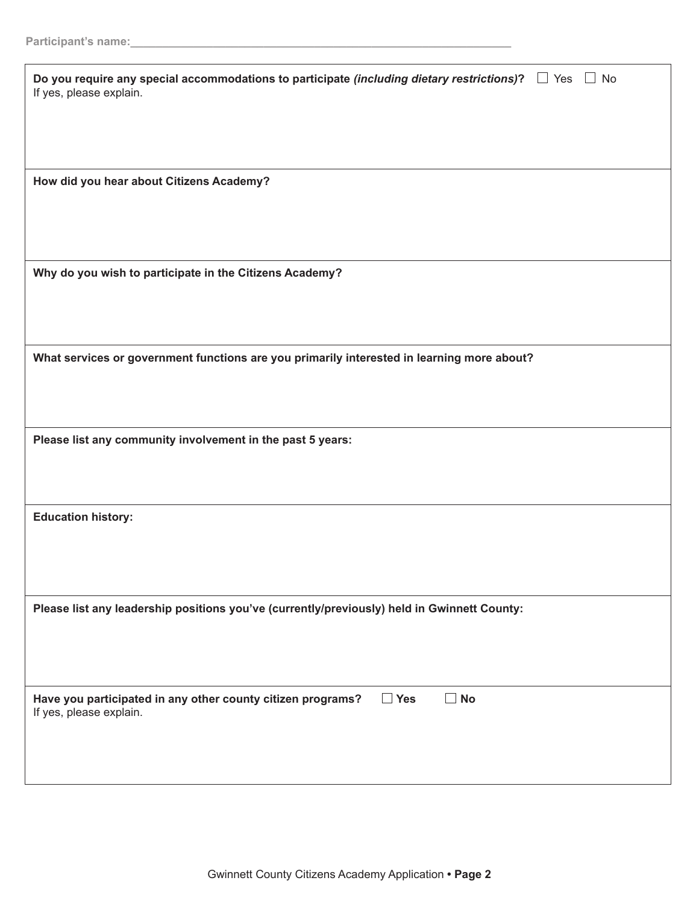| Do you require any special accommodations to participate (including dietary restrictions)? $\Box$ Yes $\Box$ No<br>If yes, please explain. |
|--------------------------------------------------------------------------------------------------------------------------------------------|
| How did you hear about Citizens Academy?                                                                                                   |
| Why do you wish to participate in the Citizens Academy?                                                                                    |
| What services or government functions are you primarily interested in learning more about?                                                 |
| Please list any community involvement in the past 5 years:                                                                                 |
| <b>Education history:</b>                                                                                                                  |
| Please list any leadership positions you've (currently/previously) held in Gwinnett County:                                                |
| $\Box$ No<br>Have you participated in any other county citizen programs?<br>$\Box$ Yes<br>If yes, please explain.                          |